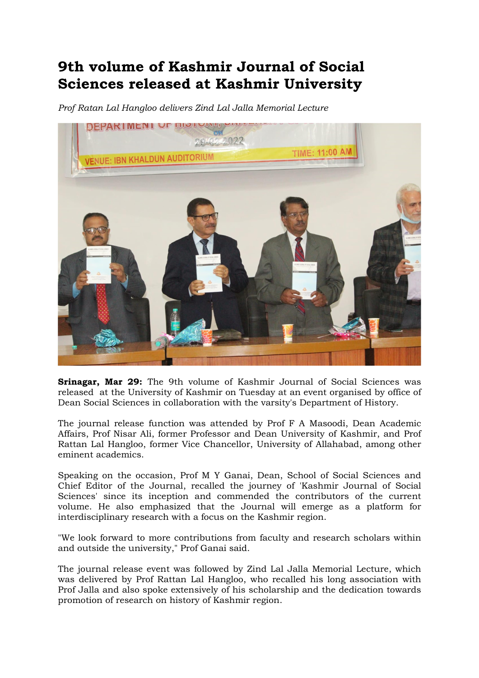## 9th volume of Kashmir Journal of Social Sciences released at Kashmir University

Prof Ratan Lal Hangloo delivers Zind Lal Jalla Memorial Lecture



Srinagar, Mar 29: The 9th volume of Kashmir Journal of Social Sciences was released at the University of Kashmir on Tuesday at an event organised by office of Dean Social Sciences in collaboration with the varsity's Department of History.

The journal release function was attended by Prof F A Masoodi, Dean Academic Affairs, Prof Nisar Ali, former Professor and Dean University of Kashmir, and Prof Rattan Lal Hangloo, former Vice Chancellor, University of Allahabad, among other eminent academics.

Speaking on the occasion, Prof M Y Ganai, Dean, School of Social Sciences and Chief Editor of the Journal, recalled the journey of 'Kashmir Journal of Social Sciences' since its inception and commended the contributors of the current volume. He also emphasized that the Journal will emerge as a platform for interdisciplinary research with a focus on the Kashmir region.

"We look forward to more contributions from faculty and research scholars within and outside the university," Prof Ganai said.

The journal release event was followed by Zind Lal Jalla Memorial Lecture, which was delivered by Prof Rattan Lal Hangloo, who recalled his long association with Prof Jalla and also spoke extensively of his scholarship and the dedication towards promotion of research on history of Kashmir region.